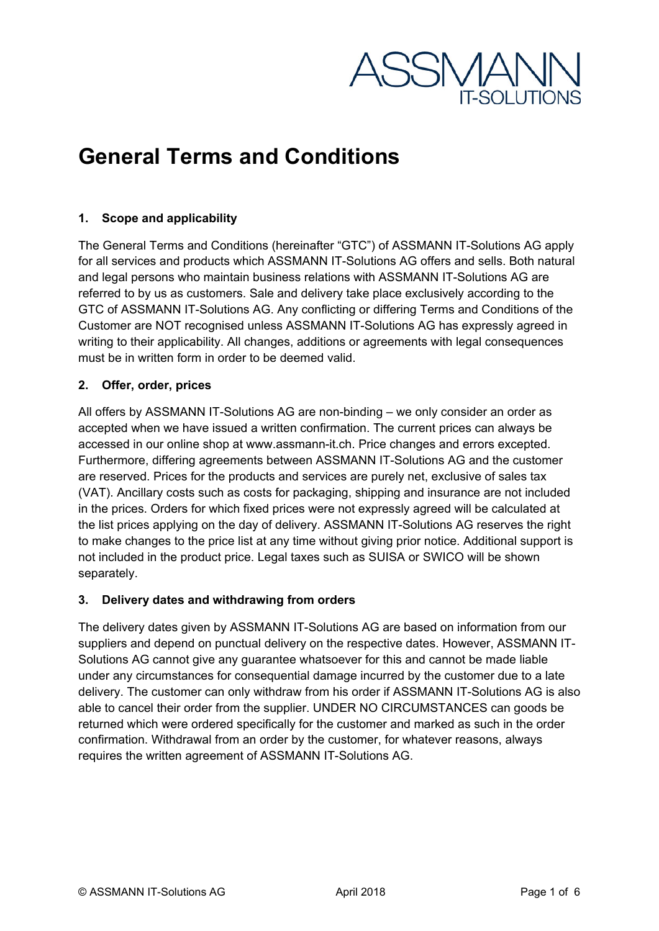

## **General Terms and Conditions**

#### **1. Scope and applicability**

The General Terms and Conditions (hereinafter "GTC") of ASSMANN IT-Solutions AG apply for all services and products which ASSMANN IT-Solutions AG offers and sells. Both natural and legal persons who maintain business relations with ASSMANN IT-Solutions AG are referred to by us as customers. Sale and delivery take place exclusively according to the GTC of ASSMANN IT-Solutions AG. Any conflicting or differing Terms and Conditions of the Customer are NOT recognised unless ASSMANN IT-Solutions AG has expressly agreed in writing to their applicability. All changes, additions or agreements with legal consequences must be in written form in order to be deemed valid.

#### **2. Offer, order, prices**

All offers by ASSMANN IT-Solutions AG are non-binding – we only consider an order as accepted when we have issued a written confirmation. The current prices can always be accessed in our online shop at www.assmann-it.ch. Price changes and errors excepted. Furthermore, differing agreements between ASSMANN IT-Solutions AG and the customer are reserved. Prices for the products and services are purely net, exclusive of sales tax (VAT). Ancillary costs such as costs for packaging, shipping and insurance are not included in the prices. Orders for which fixed prices were not expressly agreed will be calculated at the list prices applying on the day of delivery. ASSMANN IT-Solutions AG reserves the right to make changes to the price list at any time without giving prior notice. Additional support is not included in the product price. Legal taxes such as SUISA or SWICO will be shown separately.

#### **3. Delivery dates and withdrawing from orders**

The delivery dates given by ASSMANN IT-Solutions AG are based on information from our suppliers and depend on punctual delivery on the respective dates. However, ASSMANN IT-Solutions AG cannot give any guarantee whatsoever for this and cannot be made liable under any circumstances for consequential damage incurred by the customer due to a late delivery. The customer can only withdraw from his order if ASSMANN IT-Solutions AG is also able to cancel their order from the supplier. UNDER NO CIRCUMSTANCES can goods be returned which were ordered specifically for the customer and marked as such in the order confirmation. Withdrawal from an order by the customer, for whatever reasons, always requires the written agreement of ASSMANN IT-Solutions AG.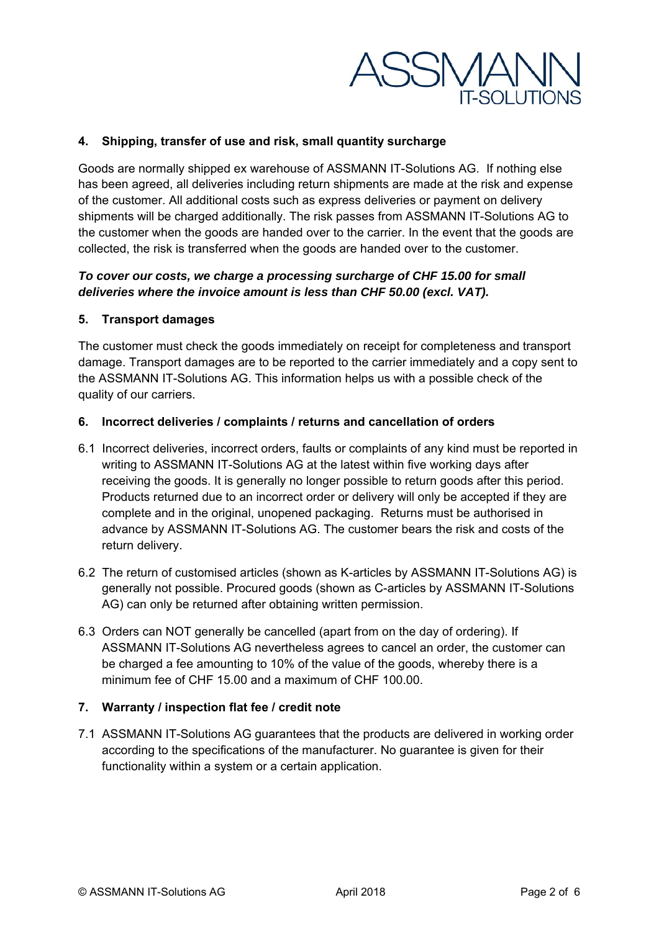

#### **4. Shipping, transfer of use and risk, small quantity surcharge**

Goods are normally shipped ex warehouse of ASSMANN IT-Solutions AG. If nothing else has been agreed, all deliveries including return shipments are made at the risk and expense of the customer. All additional costs such as express deliveries or payment on delivery shipments will be charged additionally. The risk passes from ASSMANN IT-Solutions AG to the customer when the goods are handed over to the carrier. In the event that the goods are collected, the risk is transferred when the goods are handed over to the customer.

#### *To cover our costs, we charge a processing surcharge of CHF 15.00 for small deliveries where the invoice amount is less than CHF 50.00 (excl. VAT).*

#### **5. Transport damages**

The customer must check the goods immediately on receipt for completeness and transport damage. Transport damages are to be reported to the carrier immediately and a copy sent to the ASSMANN IT-Solutions AG. This information helps us with a possible check of the quality of our carriers.

#### **6. Incorrect deliveries / complaints / returns and cancellation of orders**

- 6.1 Incorrect deliveries, incorrect orders, faults or complaints of any kind must be reported in writing to ASSMANN IT-Solutions AG at the latest within five working days after receiving the goods. It is generally no longer possible to return goods after this period. Products returned due to an incorrect order or delivery will only be accepted if they are complete and in the original, unopened packaging. Returns must be authorised in advance by ASSMANN IT-Solutions AG. The customer bears the risk and costs of the return delivery.
- 6.2 The return of customised articles (shown as K-articles by ASSMANN IT-Solutions AG) is generally not possible. Procured goods (shown as C-articles by ASSMANN IT-Solutions AG) can only be returned after obtaining written permission.
- 6.3 Orders can NOT generally be cancelled (apart from on the day of ordering). If ASSMANN IT-Solutions AG nevertheless agrees to cancel an order, the customer can be charged a fee amounting to 10% of the value of the goods, whereby there is a minimum fee of CHF 15.00 and a maximum of CHF 100.00.

#### **7. Warranty / inspection flat fee / credit note**

7.1 ASSMANN IT-Solutions AG guarantees that the products are delivered in working order according to the specifications of the manufacturer. No guarantee is given for their functionality within a system or a certain application.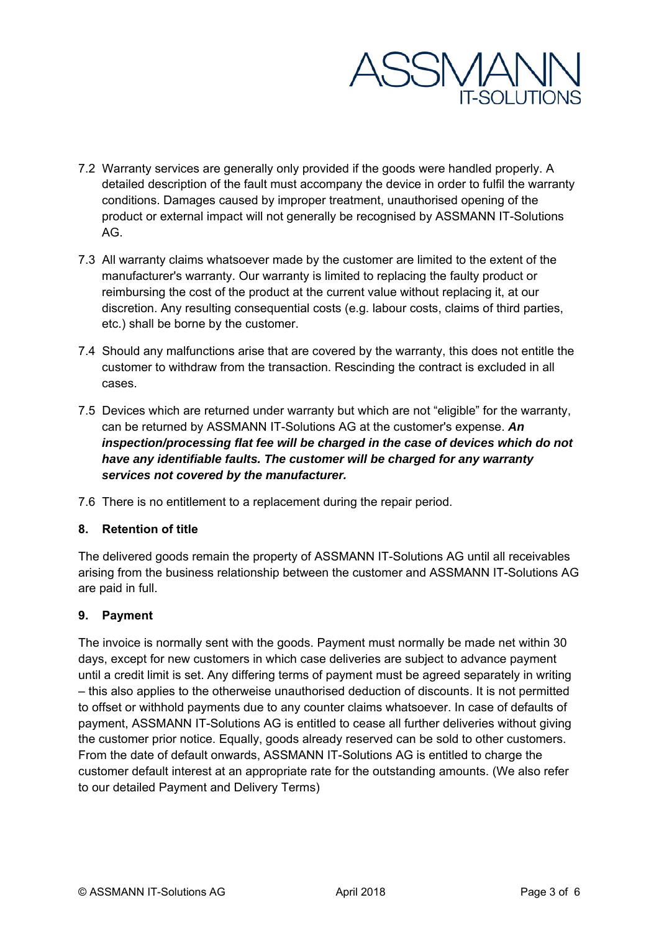

- 7.2 Warranty services are generally only provided if the goods were handled properly. A detailed description of the fault must accompany the device in order to fulfil the warranty conditions. Damages caused by improper treatment, unauthorised opening of the product or external impact will not generally be recognised by ASSMANN IT-Solutions AG.
- 7.3 All warranty claims whatsoever made by the customer are limited to the extent of the manufacturer's warranty. Our warranty is limited to replacing the faulty product or reimbursing the cost of the product at the current value without replacing it, at our discretion. Any resulting consequential costs (e.g. labour costs, claims of third parties, etc.) shall be borne by the customer.
- 7.4 Should any malfunctions arise that are covered by the warranty, this does not entitle the customer to withdraw from the transaction. Rescinding the contract is excluded in all cases.
- 7.5 Devices which are returned under warranty but which are not "eligible" for the warranty, can be returned by ASSMANN IT-Solutions AG at the customer's expense. *An inspection/processing flat fee will be charged in the case of devices which do not have any identifiable faults. The customer will be charged for any warranty services not covered by the manufacturer.*
- 7.6 There is no entitlement to a replacement during the repair period.

#### **8. Retention of title**

The delivered goods remain the property of ASSMANN IT-Solutions AG until all receivables arising from the business relationship between the customer and ASSMANN IT-Solutions AG are paid in full.

#### **9. Payment**

The invoice is normally sent with the goods. Payment must normally be made net within 30 days, except for new customers in which case deliveries are subject to advance payment until a credit limit is set. Any differing terms of payment must be agreed separately in writing – this also applies to the otherweise unauthorised deduction of discounts. It is not permitted to offset or withhold payments due to any counter claims whatsoever. In case of defaults of payment, ASSMANN IT-Solutions AG is entitled to cease all further deliveries without giving the customer prior notice. Equally, goods already reserved can be sold to other customers. From the date of default onwards, ASSMANN IT-Solutions AG is entitled to charge the customer default interest at an appropriate rate for the outstanding amounts. (We also refer to our detailed Payment and Delivery Terms)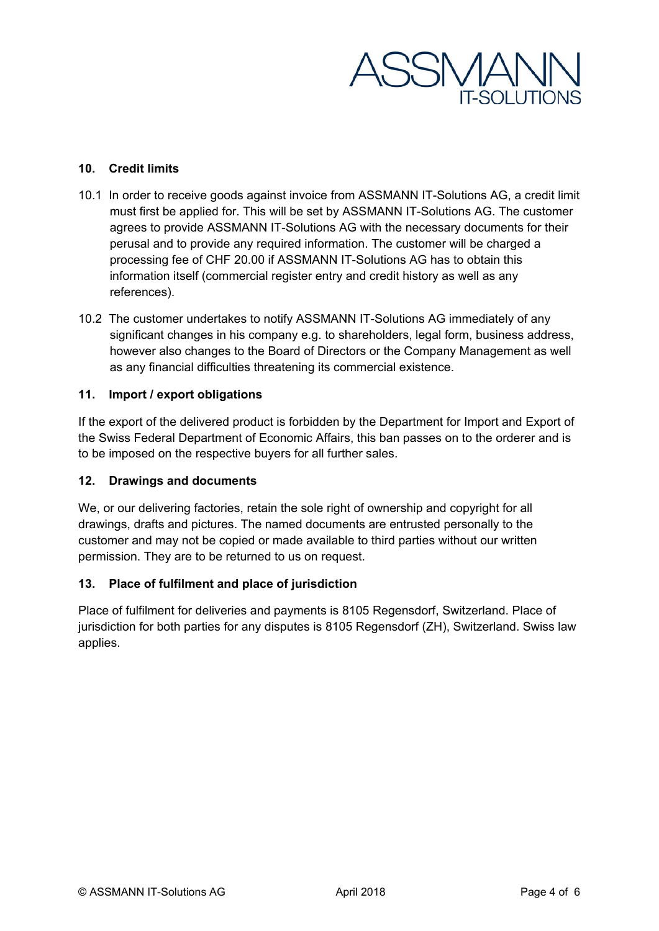

#### **10. Credit limits**

- 10.1 In order to receive goods against invoice from ASSMANN IT-Solutions AG, a credit limit must first be applied for. This will be set by ASSMANN IT-Solutions AG. The customer agrees to provide ASSMANN IT-Solutions AG with the necessary documents for their perusal and to provide any required information. The customer will be charged a processing fee of CHF 20.00 if ASSMANN IT-Solutions AG has to obtain this information itself (commercial register entry and credit history as well as any references).
- 10.2 The customer undertakes to notify ASSMANN IT-Solutions AG immediately of any significant changes in his company e.g. to shareholders, legal form, business address, however also changes to the Board of Directors or the Company Management as well as any financial difficulties threatening its commercial existence.

#### **11. Import / export obligations**

If the export of the delivered product is forbidden by the Department for Import and Export of the Swiss Federal Department of Economic Affairs, this ban passes on to the orderer and is to be imposed on the respective buyers for all further sales.

#### **12. Drawings and documents**

We, or our delivering factories, retain the sole right of ownership and copyright for all drawings, drafts and pictures. The named documents are entrusted personally to the customer and may not be copied or made available to third parties without our written permission. They are to be returned to us on request.

#### **13. Place of fulfilment and place of jurisdiction**

Place of fulfilment for deliveries and payments is 8105 Regensdorf, Switzerland. Place of jurisdiction for both parties for any disputes is 8105 Regensdorf (ZH), Switzerland. Swiss law applies.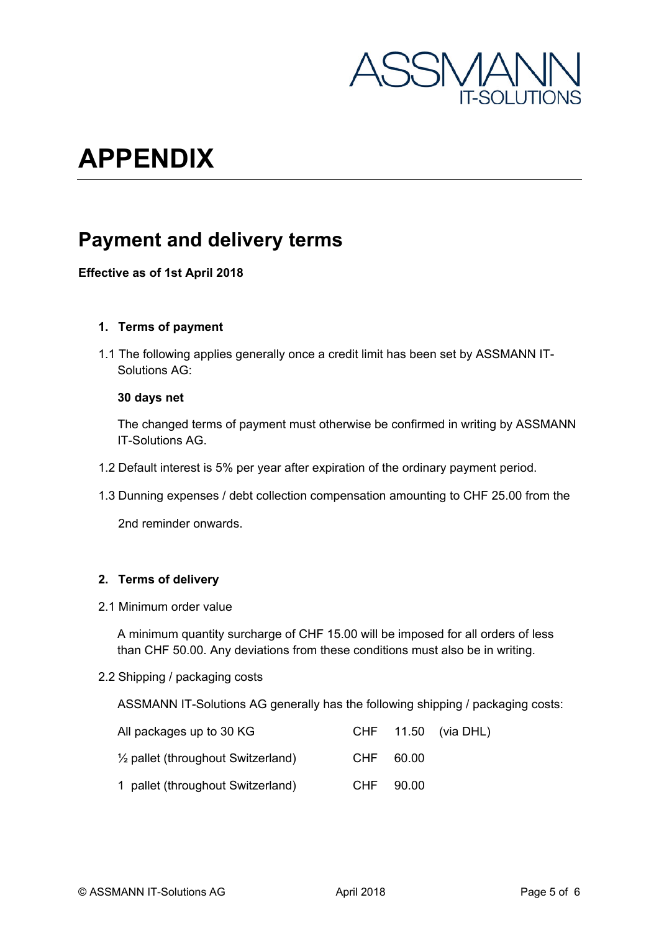

# **APPENDIX**

### **Payment and delivery terms**

#### **Effective as of 1st April 2018**

#### **1. Terms of payment**

1.1 The following applies generally once a credit limit has been set by ASSMANN IT-Solutions AG:

#### **30 days net**

The changed terms of payment must otherwise be confirmed in writing by ASSMANN IT-Solutions AG.

- 1.2 Default interest is 5% per year after expiration of the ordinary payment period.
- 1.3 Dunning expenses / debt collection compensation amounting to CHF 25.00 from the

2nd reminder onwards.

#### **2. Terms of delivery**

2.1 Minimum order value

A minimum quantity surcharge of CHF 15.00 will be imposed for all orders of less than CHF 50.00. Any deviations from these conditions must also be in writing.

2.2 Shipping / packaging costs

ASSMANN IT-Solutions AG generally has the following shipping / packaging costs:

| All packages up to 30 KG                      |           | CHF $11.50$ (via DHL) |
|-----------------------------------------------|-----------|-----------------------|
| $\frac{1}{2}$ pallet (throughout Switzerland) | CHF 60.00 |                       |
| 1 pallet (throughout Switzerland)             | CHF 90.00 |                       |